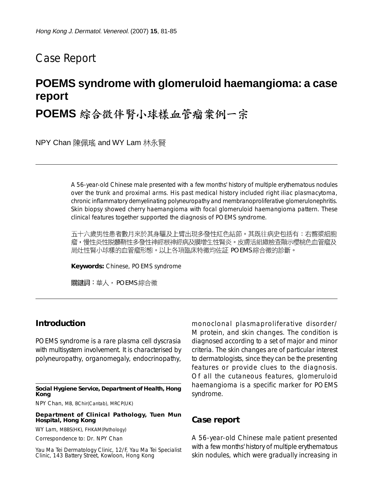## Case Report

# **POEMS syndrome with glomeruloid haemangioma: a case report**

POEMS 綜合徵伴腎小球樣血管瘤案例一宗

NPY Chan 陳佩瑤 and WY Lam 林永賢

A 56-year-old Chinese male presented with a few months' history of multiple erythematous nodules over the trunk and proximal arms. His past medical history included right iliac plasmacytoma, chronic inflammatory demyelinating polyneuropathy and membranoproliferative glomerulonephritis. Skin biopsy showed cherry haemangioma with focal glomeruloid haemangioma pattern. These clinical features together supported the diagnosis of POEMS syndrome.

五十六歲男性患者數月來於其身驅及上臂出現多發性紅色結節。其既往病史包括有:右髂漿細胞 瘤,慢性炎性脱髓鞘性多發性神經根神經病及膜增生性腎炎。皮膚活組織檢查顯示櫻桃色血管瘤及 局灶性腎小球樣的血管瘤形態。以上各項臨床特徵均佐証 POEMS 綜合徵的診斷。

**Keywords:** Chinese, POEMS syndrome

關鍵詞:華人,POEMS 綜合徵

#### **Introduction**

POEMS syndrome is a rare plasma cell dyscrasia with multisystem involvement. It is characterised by polyneuropathy, organomegaly, endocrinopathy,

**Social Hygiene Service, Department of Health, Hong Kong**

NPY Chan, MB, BChir(Cantab), MRCP(UK)

**Department of Clinical Pathology, Tuen Mun Hospital, Hong Kong**

WY Lam, MBBS(HK), FHKAM(Pathology)

Correspondence to: Dr. NPY Chan

Yau Ma Tei Dermatology Clinic, 12/F, Yau Ma Tei Specialist Clinic, 143 Battery Street, Kowloon, Hong Kong

monoclonal plasmaproliferative disorder/ M protein, and skin changes. The condition is diagnosed according to a set of major and minor criteria. The skin changes are of particular interest to dermatologists, since they can be the presenting features or provide clues to the diagnosis. Of all the cutaneous features, glomeruloid haemangioma is a specific marker for POEMS syndrome.

#### **Case report**

A 56-year-old Chinese male patient presented with a few months' history of multiple erythematous skin nodules, which were gradually increasing in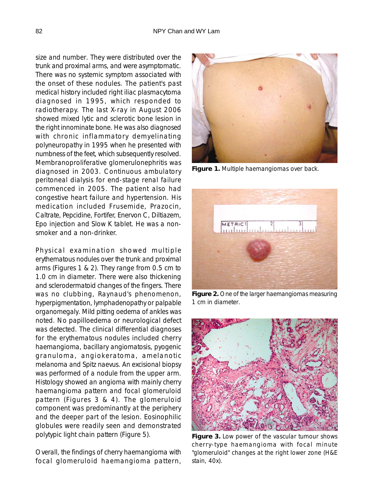size and number. They were distributed over the trunk and proximal arms, and were asymptomatic. There was no systemic symptom associated with the onset of these nodules. The patient's past medical history included right iliac plasmacytoma diagnosed in 1995, which responded to radiotherapy. The last X-ray in August 2006 showed mixed lytic and sclerotic bone lesion in the right innominate bone. He was also diagnosed with chronic inflammatory demyelinating polyneuropathy in 1995 when he presented with numbness of the feet, which subsequently resolved. Membranoproliferative glomerulonephritis was diagnosed in 2003. Continuous ambulatory peritoneal dialysis for end-stage renal failure commenced in 2005. The patient also had congestive heart failure and hypertension. His medication included Frusemide, Prazocin, Caltrate, Pepcidine, Fortifer, Enervon C, Diltiazem, Epo injection and Slow K tablet. He was a nonsmoker and a non-drinker.

Physical examination showed multiple erythematous nodules over the trunk and proximal arms (Figures 1 & 2). They range from 0.5 cm to 1.0 cm in diameter. There were also thickening and sclerodermatoid changes of the fingers. There was no clubbing, Raynaud's phenomenon, hyperpigmentation, lymphadenopathy or palpable organomegaly. Mild pitting oedema of ankles was noted. No papilloedema or neurological defect was detected. The clinical differential diagnoses for the erythematous nodules included cherry haemangioma, bacillary angiomatosis, pyogenic granuloma, angiokeratoma, amelanotic melanoma and Spitz naevus. An excisional biopsy was performed of a nodule from the upper arm. Histology showed an angioma with mainly cherry haemangioma pattern and focal glomeruloid pattern (Figures 3 & 4). The glomeruloid component was predominantly at the periphery and the deeper part of the lesion. Eosinophilic globules were readily seen and demonstrated polytypic light chain pattern (Figure 5).

Overall, the findings of cherry haemangioma with focal glomeruloid haemangioma pattern,



**Figure 1.** Multiple haemangiomas over back.



**Figure 2.** One of the larger haemangiomas measuring 1 cm in diameter.



**Figure 3.** Low power of the vascular tumour shows cherry-type haemangioma with focal minute "glomeruloid" changes at the right lower zone (H&E stain, 40x).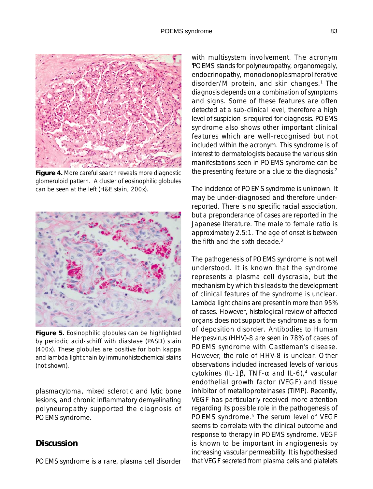

**Figure 4.** More careful search reveals more diagnostic glomeruloid pattern. A cluster of eosinophilic globules can be seen at the left (H&E stain, 200x).



**Figure 5.** Eosinophilic globules can be highlighted by periodic acid-schiff with diastase (PASD) stain (400x). These globules are positive for both kappa and lambda light chain by immunohistochemical stains (not shown).

plasmacytoma, mixed sclerotic and lytic bone lesions, and chronic inflammatory demyelinating polyneuropathy supported the diagnosis of POEMS syndrome.

#### **Discussion**

POEMS syndrome is a rare, plasma cell disorder

with multisystem involvement. The acronym 'POEMS' stands for *p*olyneuropathy, *o*rganomegaly, *e*ndocrinopathy, *m*onoclonoplasmaproliferative disorder/*M* protein, and *s*kin changes.1 The diagnosis depends on a combination of symptoms and signs. Some of these features are often detected at a sub-clinical level, therefore a high level of suspicion is required for diagnosis. POEMS syndrome also shows other important clinical features which are well-recognised but not included within the acronym. This syndrome is of interest to dermatologists because the various skin manifestations seen in POEMS syndrome can be the presenting feature or a clue to the diagnosis.<sup>2</sup>

The incidence of POEMS syndrome is unknown. It may be under-diagnosed and therefore underreported. There is no specific racial association, but a preponderance of cases are reported in the Japanese literature. The male to female ratio is approximately 2.5:1. The age of onset is between the fifth and the sixth decade.3

The pathogenesis of POEMS syndrome is not well understood. It is known that the syndrome represents a plasma cell dyscrasia, but the mechanism by which this leads to the development of clinical features of the syndrome is unclear. Lambda light chains are present in more than 95% of cases. However, histological review of affected organs does not support the syndrome as a form of deposition disorder. Antibodies to Human Herpesvirus (HHV)-8 are seen in 78% of cases of POEMS syndrome with Castleman's disease. However, the role of HHV-8 is unclear. Other observations included increased levels of various cytokines (IL-1β, TNF- $\alpha$  and IL-6),<sup>4</sup> vascular endothelial growth factor (VEGF) and tissue inhibitor of metalloproteinases (TIMP). Recently, VEGF has particularly received more attention regarding its possible role in the pathogenesis of POEMS syndrome.<sup>5</sup> The serum level of VEGF seems to correlate with the clinical outcome and response to therapy in POEMS syndrome. VEGF is known to be important in angiogenesis by increasing vascular permeability. It is hypothesised that VEGF secreted from plasma cells and platelets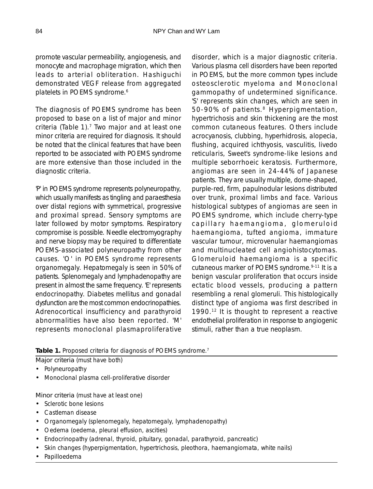promote vascular permeability, angiogenesis, and monocyte and macrophage migration, which then leads to arterial obliteration. Hashiguchi demonstrated VEGF release from aggregated platelets in POEMS syndrome.<sup>6</sup>

The diagnosis of POEMS syndrome has been proposed to base on a list of major and minor criteria (Table 1). $<sup>7</sup>$  Two major and at least one</sup> minor criteria are required for diagnosis. It should be noted that the clinical features that have been reported to be associated with POEMS syndrome are more extensive than those included in the diagnostic criteria.

'P' in POEMS syndrome represents polyneuropathy, which usually manifests as tingling and paraesthesia over distal regions with symmetrical, progressive and proximal spread. Sensory symptoms are later followed by motor symptoms. Respiratory compromise is possible. Needle electromyography and nerve biopsy may be required to differentiate POEMS-associated polyneuropathy from other causes. 'O' in POEMS syndrome represents organomegaly. Hepatomegaly is seen in 50% of patients. Splenomegaly and lymphadenopathy are present in almost the same frequency. 'E' represents endocrinopathy. Diabetes mellitus and gonadal dysfunction are the most common endocrinopathies. Adrenocortical insufficiency and parathyroid abnormalities have also been reported. 'M' represents monoclonal plasmaproliferative

disorder, which is a major diagnostic criteria. Various plasma cell disorders have been reported in POEMS, but the more common types include osteosclerotic myeloma and Monoclonal gammopathy of undetermined significance. 'S' represents skin changes, which are seen in 50-90% of patients.<sup>8</sup> Hyperpigmentation, hypertrichosis and skin thickening are the most common cutaneous features. Others include acrocyanosis, clubbing, hyperhidrosis, alopecia, flushing, acquired ichthyosis, vasculitis, livedo reticularis, Sweet's syndrome-like lesions and multiple seborrhoeic keratosis. Furthermore, angiomas are seen in 24-44% of Japanese patients. They are usually multiple, dome-shaped, purple-red, firm, papulnodular lesions distributed over trunk, proximal limbs and face. Various histological subtypes of angiomas are seen in POEMS syndrome, which include cherry-type capillary haemangioma, glomeruloid haemangioma, tufted angioma, immature vascular tumour, microvenular haemangiomas and multinucleated cell angiohistocytomas. Glomeruloid haemangioma is a specific cutaneous marker of POEMS syndrome.<sup>9-11</sup> It is a benign vascular proliferation that occurs inside ectatic blood vessels, producing a pattern resembling a renal glomeruli. This histologically distinct type of angioma was first described in 1990.<sup>12</sup> It is thought to represent a reactive endothelial proliferation in response to angiogenic stimuli, rather than a true neoplasm.

Table 1. Proposed criteria for diagnosis of POEMS syndrome.<sup>7</sup>

Major criteria (must have both)

- Polyneuropathy
- Monoclonal plasma cell-proliferative disorder

Minor criteria (must have at least one)

- Sclerotic bone lesions
- Castleman disease
- Organomegaly (splenomegaly, hepatomegaly, lymphadenopathy)
- Oedema (oedema, pleural effusion, ascities)
- Endocrinopathy (adrenal, thyroid, pituitary, gonadal, parathyroid, pancreatic)
- Skin changes (hyperpigmentation, hypertrichosis, pleothora, haemangiomata, white nails)
- Papilloedema